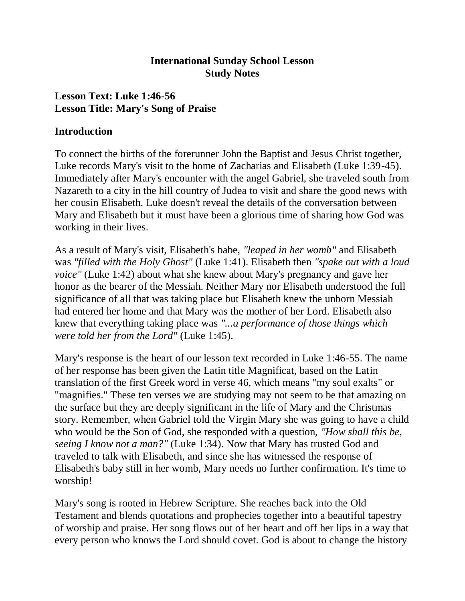#### **International Sunday School Lesson Study Notes**

# **Lesson Text: Luke 1:46-56 Lesson Title: Mary's Song of Praise**

#### **Introduction**

To connect the births of the forerunner John the Baptist and Jesus Christ together, Luke records Mary's visit to the home of Zacharias and Elisabeth (Luke 1:39-45). Immediately after Mary's encounter with the angel Gabriel, she traveled south from Nazareth to a city in the hill country of Judea to visit and share the good news with her cousin Elisabeth. Luke doesn't reveal the details of the conversation between Mary and Elisabeth but it must have been a glorious time of sharing how God was working in their lives.

As a result of Mary's visit, Elisabeth's babe, *"leaped in her womb"* and Elisabeth was *"filled with the Holy Ghost"* (Luke 1:41). Elisabeth then *"spake out with a loud voice"* (Luke 1:42) about what she knew about Mary's pregnancy and gave her honor as the bearer of the Messiah. Neither Mary nor Elisabeth understood the full significance of all that was taking place but Elisabeth knew the unborn Messiah had entered her home and that Mary was the mother of her Lord. Elisabeth also knew that everything taking place was *"...a performance of those things which were told her from the Lord"* (Luke 1:45).

Mary's response is the heart of our lesson text recorded in Luke 1:46-55. The name of her response has been given the Latin title Magnificat, based on the Latin translation of the first Greek word in verse 46, which means "my soul exalts" or "magnifies." These ten verses we are studying may not seem to be that amazing on the surface but they are deeply significant in the life of Mary and the Christmas story. Remember, when Gabriel told the Virgin Mary she was going to have a child who would be the Son of God, she responded with a question, *"How shall this be, seeing I know not a man?"* (Luke 1:34). Now that Mary has trusted God and traveled to talk with Elisabeth, and since she has witnessed the response of Elisabeth's baby still in her womb, Mary needs no further confirmation. It's time to worship!

Mary's song is rooted in Hebrew Scripture. She reaches back into the Old Testament and blends quotations and prophecies together into a beautiful tapestry of worship and praise. Her song flows out of her heart and off her lips in a way that every person who knows the Lord should covet. God is about to change the history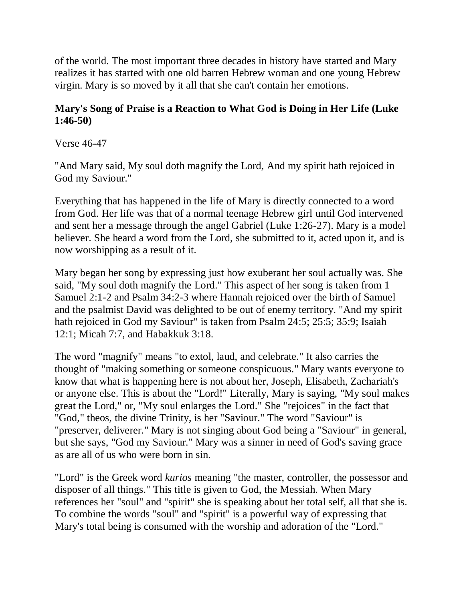of the world. The most important three decades in history have started and Mary realizes it has started with one old barren Hebrew woman and one young Hebrew virgin. Mary is so moved by it all that she can't contain her emotions.

#### **Mary's Song of Praise is a Reaction to What God is Doing in Her Life (Luke 1:46-50)**

#### Verse 46-47

"And Mary said, My soul doth magnify the Lord, And my spirit hath rejoiced in God my Saviour."

Everything that has happened in the life of Mary is directly connected to a word from God. Her life was that of a normal teenage Hebrew girl until God intervened and sent her a message through the angel Gabriel (Luke 1:26-27). Mary is a model believer. She heard a word from the Lord, she submitted to it, acted upon it, and is now worshipping as a result of it.

Mary began her song by expressing just how exuberant her soul actually was. She said, "My soul doth magnify the Lord." This aspect of her song is taken from 1 Samuel 2:1-2 and Psalm 34:2-3 where Hannah rejoiced over the birth of Samuel and the psalmist David was delighted to be out of enemy territory. "And my spirit hath rejoiced in God my Saviour" is taken from Psalm 24:5; 25:5; 35:9; Isaiah 12:1; Micah 7:7, and Habakkuk 3:18.

The word "magnify" means "to extol, laud, and celebrate." It also carries the thought of "making something or someone conspicuous." Mary wants everyone to know that what is happening here is not about her, Joseph, Elisabeth, Zachariah's or anyone else. This is about the "Lord!" Literally, Mary is saying, "My soul makes great the Lord," or, "My soul enlarges the Lord." She "rejoices" in the fact that "God," theos, the divine Trinity, is her "Saviour." The word "Saviour" is "preserver, deliverer." Mary is not singing about God being a "Saviour" in general, but she says, "God my Saviour." Mary was a sinner in need of God's saving grace as are all of us who were born in sin.

"Lord" is the Greek word *kurios* meaning "the master, controller, the possessor and disposer of all things." This title is given to God, the Messiah. When Mary references her "soul" and "spirit" she is speaking about her total self, all that she is. To combine the words "soul" and "spirit" is a powerful way of expressing that Mary's total being is consumed with the worship and adoration of the "Lord."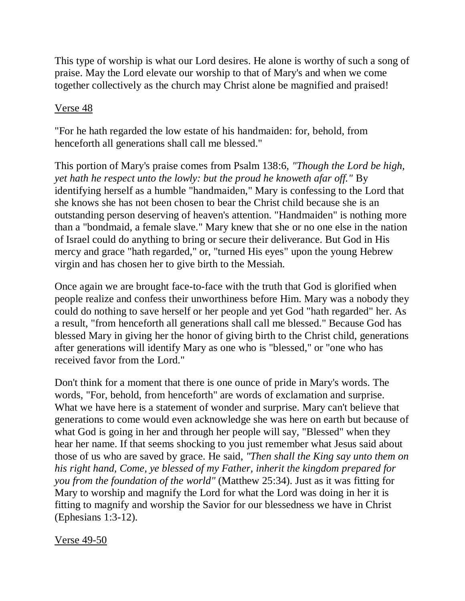This type of worship is what our Lord desires. He alone is worthy of such a song of praise. May the Lord elevate our worship to that of Mary's and when we come together collectively as the church may Christ alone be magnified and praised!

#### Verse 48

"For he hath regarded the low estate of his handmaiden: for, behold, from henceforth all generations shall call me blessed."

This portion of Mary's praise comes from Psalm 138:6, *"Though the Lord be high, yet hath he respect unto the lowly: but the proud he knoweth afar off."* By identifying herself as a humble "handmaiden," Mary is confessing to the Lord that she knows she has not been chosen to bear the Christ child because she is an outstanding person deserving of heaven's attention. "Handmaiden" is nothing more than a "bondmaid, a female slave." Mary knew that she or no one else in the nation of Israel could do anything to bring or secure their deliverance. But God in His mercy and grace "hath regarded," or, "turned His eyes" upon the young Hebrew virgin and has chosen her to give birth to the Messiah.

Once again we are brought face-to-face with the truth that God is glorified when people realize and confess their unworthiness before Him. Mary was a nobody they could do nothing to save herself or her people and yet God "hath regarded" her. As a result, "from henceforth all generations shall call me blessed." Because God has blessed Mary in giving her the honor of giving birth to the Christ child, generations after generations will identify Mary as one who is "blessed," or "one who has received favor from the Lord."

Don't think for a moment that there is one ounce of pride in Mary's words. The words, "For, behold, from henceforth" are words of exclamation and surprise. What we have here is a statement of wonder and surprise. Mary can't believe that generations to come would even acknowledge she was here on earth but because of what God is going in her and through her people will say, "Blessed" when they hear her name. If that seems shocking to you just remember what Jesus said about those of us who are saved by grace. He said, *"Then shall the King say unto them on his right hand, Come, ye blessed of my Father, inherit the kingdom prepared for you from the foundation of the world"* (Matthew 25:34). Just as it was fitting for Mary to worship and magnify the Lord for what the Lord was doing in her it is fitting to magnify and worship the Savior for our blessedness we have in Christ (Ephesians 1:3-12).

Verse 49-50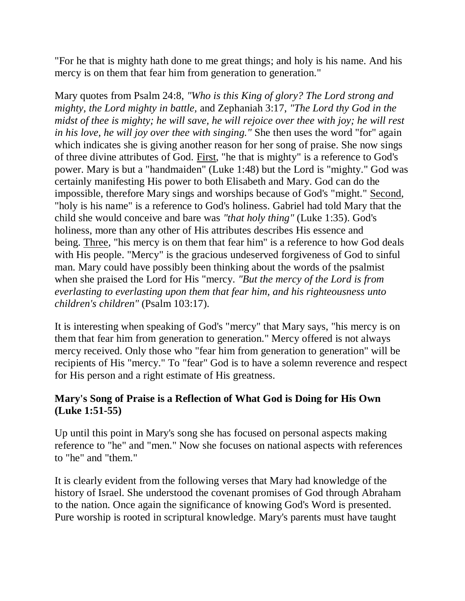"For he that is mighty hath done to me great things; and holy is his name. And his mercy is on them that fear him from generation to generation."

Mary quotes from Psalm 24:8, *"Who is this King of glory? The Lord strong and mighty, the Lord mighty in battle,* and Zephaniah 3:17, *"The Lord thy God in the midst of thee is mighty; he will save, he will rejoice over thee with joy; he will rest in his love, he will joy over thee with singing."* She then uses the word "for" again which indicates she is giving another reason for her song of praise. She now sings of three divine attributes of God. First, "he that is mighty" is a reference to God's power. Mary is but a "handmaiden" (Luke 1:48) but the Lord is "mighty." God was certainly manifesting His power to both Elisabeth and Mary. God can do the impossible, therefore Mary sings and worships because of God's "might." Second, "holy is his name" is a reference to God's holiness. Gabriel had told Mary that the child she would conceive and bare was *"that holy thing"* (Luke 1:35). God's holiness, more than any other of His attributes describes His essence and being. Three, "his mercy is on them that fear him" is a reference to how God deals with His people. "Mercy" is the gracious undeserved forgiveness of God to sinful man. Mary could have possibly been thinking about the words of the psalmist when she praised the Lord for His "mercy. *"But the mercy of the Lord is from everlasting to everlasting upon them that fear him, and his righteousness unto children's children"* (Psalm 103:17).

It is interesting when speaking of God's "mercy" that Mary says, "his mercy is on them that fear him from generation to generation." Mercy offered is not always mercy received. Only those who "fear him from generation to generation" will be recipients of His "mercy." To "fear" God is to have a solemn reverence and respect for His person and a right estimate of His greatness.

# **Mary's Song of Praise is a Reflection of What God is Doing for His Own (Luke 1:51-55)**

Up until this point in Mary's song she has focused on personal aspects making reference to "he" and "men." Now she focuses on national aspects with references to "he" and "them."

It is clearly evident from the following verses that Mary had knowledge of the history of Israel. She understood the covenant promises of God through Abraham to the nation. Once again the significance of knowing God's Word is presented. Pure worship is rooted in scriptural knowledge. Mary's parents must have taught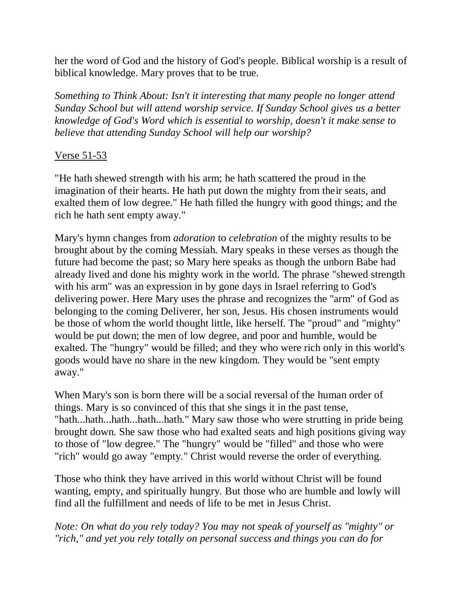her the word of God and the history of God's people. Biblical worship is a result of biblical knowledge. Mary proves that to be true.

*Something to Think About: Isn't it interesting that many people no longer attend Sunday School but will attend worship service. If Sunday School gives us a better knowledge of God's Word which is essential to worship, doesn't it make sense to believe that attending Sunday School will help our worship?*

# Verse 51-53

"He hath shewed strength with his arm; he hath scattered the proud in the imagination of their hearts. He hath put down the mighty from their seats, and exalted them of low degree." He hath filled the hungry with good things; and the rich he hath sent empty away."

Mary's hymn changes from *adoration* to *celebration* of the mighty results to be brought about by the coming Messiah. Mary speaks in these verses as though the future had become the past; so Mary here speaks as though the unborn Babe had already lived and done his mighty work in the world. The phrase "shewed strength with his arm" was an expression in by gone days in Israel referring to God's delivering power. Here Mary uses the phrase and recognizes the "arm" of God as belonging to the coming Deliverer, her son, Jesus. His chosen instruments would be those of whom the world thought little, like herself. The "proud" and "mighty" would be put down; the men of low degree, and poor and humble, would be exalted. The "hungry" would be filled; and they who were rich only in this world's goods would have no share in the new kingdom. They would be "sent empty away."

When Mary's son is born there will be a social reversal of the human order of things. Mary is so convinced of this that she sings it in the past tense, "hath...hath...hath...hath...hath." Mary saw those who were strutting in pride being brought down. She saw those who had exalted seats and high positions giving way to those of "low degree." The "hungry" would be "filled" and those who were "rich" would go away "empty." Christ would reverse the order of everything.

Those who think they have arrived in this world without Christ will be found wanting, empty, and spiritually hungry. But those who are humble and lowly will find all the fulfillment and needs of life to be met in Jesus Christ.

*Note: On what do you rely today? You may not speak of yourself as "mighty" or "rich," and yet you rely totally on personal success and things you can do for*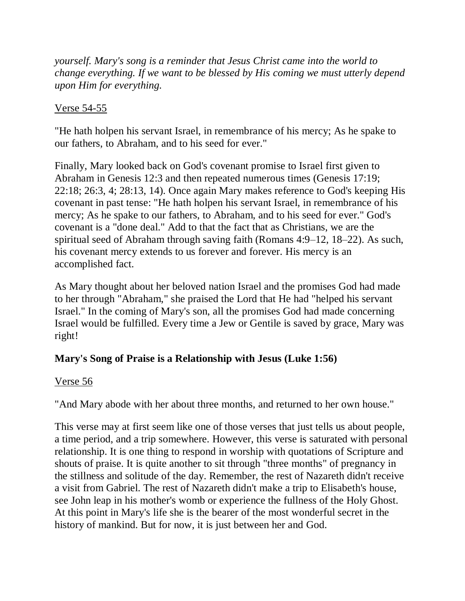*yourself. Mary's song is a reminder that Jesus Christ came into the world to change everything. If we want to be blessed by His coming we must utterly depend upon Him for everything.*

# Verse 54-55

"He hath holpen his servant Israel, in remembrance of his mercy; As he spake to our fathers, to Abraham, and to his seed for ever."

Finally, Mary looked back on God's covenant promise to Israel first given to Abraham in Genesis 12:3 and then repeated numerous times (Genesis 17:19; 22:18; 26:3, 4; 28:13, 14). Once again Mary makes reference to God's keeping His covenant in past tense: "He hath holpen his servant Israel, in remembrance of his mercy; As he spake to our fathers, to Abraham, and to his seed for ever." God's covenant is a "done deal." Add to that the fact that as Christians, we are the spiritual seed of Abraham through saving faith (Romans 4:9–12, 18–22). As such, his covenant mercy extends to us forever and forever. His mercy is an accomplished fact.

As Mary thought about her beloved nation Israel and the promises God had made to her through "Abraham," she praised the Lord that He had "helped his servant Israel." In the coming of Mary's son, all the promises God had made concerning Israel would be fulfilled. Every time a Jew or Gentile is saved by grace, Mary was right!

# **Mary's Song of Praise is a Relationship with Jesus (Luke 1:56)**

# Verse 56

"And Mary abode with her about three months, and returned to her own house."

This verse may at first seem like one of those verses that just tells us about people, a time period, and a trip somewhere. However, this verse is saturated with personal relationship. It is one thing to respond in worship with quotations of Scripture and shouts of praise. It is quite another to sit through "three months" of pregnancy in the stillness and solitude of the day. Remember, the rest of Nazareth didn't receive a visit from Gabriel. The rest of Nazareth didn't make a trip to Elisabeth's house, see John leap in his mother's womb or experience the fullness of the Holy Ghost. At this point in Mary's life she is the bearer of the most wonderful secret in the history of mankind. But for now, it is just between her and God.